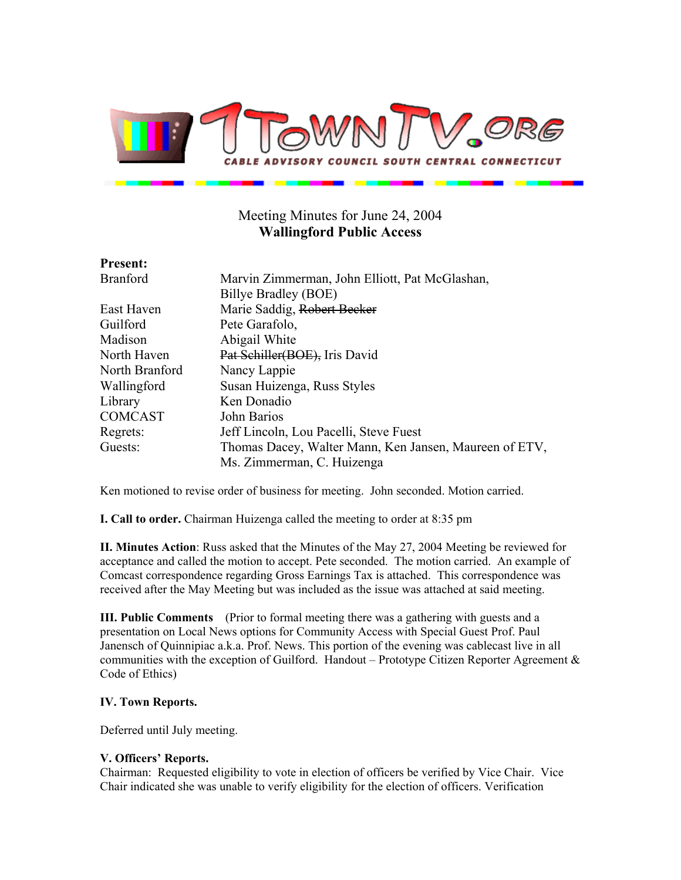

# Meeting Minutes for June 24, 2004 **Wallingford Public Access**

# **Present:**

Branford Marvin Zimmerman, John Elliott, Pat McGlashan, Billye Bradley (BOE) East Haven Marie Saddig, Robert Becker Guilford Pete Garafolo, Madison Abigail White North Haven Pat Schiller(BOE), Iris David North Branford Nancy Lappie Wallingford Susan Huizenga, Russ Styles Library Ken Donadio COMCAST John Barios Regrets: Jeff Lincoln, Lou Pacelli, Steve Fuest Guests: Thomas Dacey, Walter Mann, Ken Jansen, Maureen of ETV, Ms. Zimmerman, C. Huizenga

Ken motioned to revise order of business for meeting. John seconded. Motion carried.

**I. Call to order.** Chairman Huizenga called the meeting to order at 8:35 pm

**II. Minutes Action**: Russ asked that the Minutes of the May 27, 2004 Meeting be reviewed for acceptance and called the motion to accept. Pete seconded. The motion carried. An example of Comcast correspondence regarding Gross Earnings Tax is attached. This correspondence was received after the May Meeting but was included as the issue was attached at said meeting.

**III. Public Comments** (Prior to formal meeting there was a gathering with guests and a presentation on Local News options for Community Access with Special Guest Prof. Paul Janensch of Quinnipiac a.k.a. Prof. News. This portion of the evening was cablecast live in all communities with the exception of Guilford. Handout – Prototype Citizen Reporter Agreement  $\&$ Code of Ethics)

## **IV. Town Reports.**

Deferred until July meeting.

### **V. Officers' Reports.**

Chairman: Requested eligibility to vote in election of officers be verified by Vice Chair. Vice Chair indicated she was unable to verify eligibility for the election of officers. Verification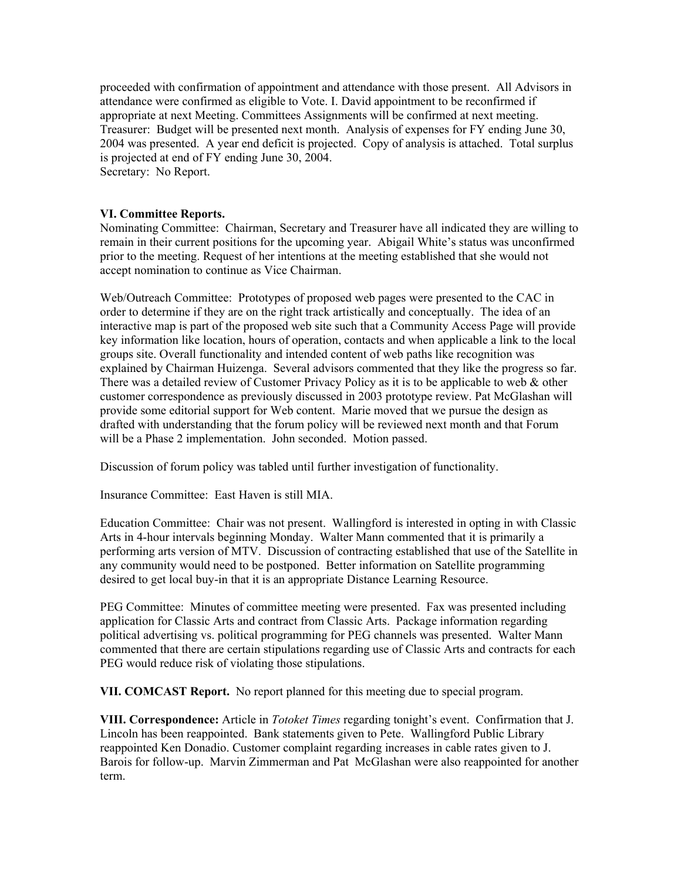proceeded with confirmation of appointment and attendance with those present. All Advisors in attendance were confirmed as eligible to Vote. I. David appointment to be reconfirmed if appropriate at next Meeting. Committees Assignments will be confirmed at next meeting. Treasurer: Budget will be presented next month. Analysis of expenses for FY ending June 30, 2004 was presented. A year end deficit is projected. Copy of analysis is attached. Total surplus is projected at end of FY ending June 30, 2004. Secretary: No Report.

### **VI. Committee Reports.**

Nominating Committee: Chairman, Secretary and Treasurer have all indicated they are willing to remain in their current positions for the upcoming year. Abigail White's status was unconfirmed prior to the meeting. Request of her intentions at the meeting established that she would not accept nomination to continue as Vice Chairman.

Web/Outreach Committee: Prototypes of proposed web pages were presented to the CAC in order to determine if they are on the right track artistically and conceptually. The idea of an interactive map is part of the proposed web site such that a Community Access Page will provide key information like location, hours of operation, contacts and when applicable a link to the local groups site. Overall functionality and intended content of web paths like recognition was explained by Chairman Huizenga. Several advisors commented that they like the progress so far. There was a detailed review of Customer Privacy Policy as it is to be applicable to web  $\&$  other customer correspondence as previously discussed in 2003 prototype review. Pat McGlashan will provide some editorial support for Web content. Marie moved that we pursue the design as drafted with understanding that the forum policy will be reviewed next month and that Forum will be a Phase 2 implementation. John seconded. Motion passed.

Discussion of forum policy was tabled until further investigation of functionality.

Insurance Committee: East Haven is still MIA.

Education Committee: Chair was not present. Wallingford is interested in opting in with Classic Arts in 4-hour intervals beginning Monday. Walter Mann commented that it is primarily a performing arts version of MTV. Discussion of contracting established that use of the Satellite in any community would need to be postponed. Better information on Satellite programming desired to get local buy-in that it is an appropriate Distance Learning Resource.

PEG Committee: Minutes of committee meeting were presented. Fax was presented including application for Classic Arts and contract from Classic Arts. Package information regarding political advertising vs. political programming for PEG channels was presented. Walter Mann commented that there are certain stipulations regarding use of Classic Arts and contracts for each PEG would reduce risk of violating those stipulations.

**VII. COMCAST Report.** No report planned for this meeting due to special program.

**VIII. Correspondence:** Article in *Totoket Times* regarding tonight's event. Confirmation that J. Lincoln has been reappointed. Bank statements given to Pete. Wallingford Public Library reappointed Ken Donadio. Customer complaint regarding increases in cable rates given to J. Barois for follow-up. Marvin Zimmerman and Pat McGlashan were also reappointed for another term.